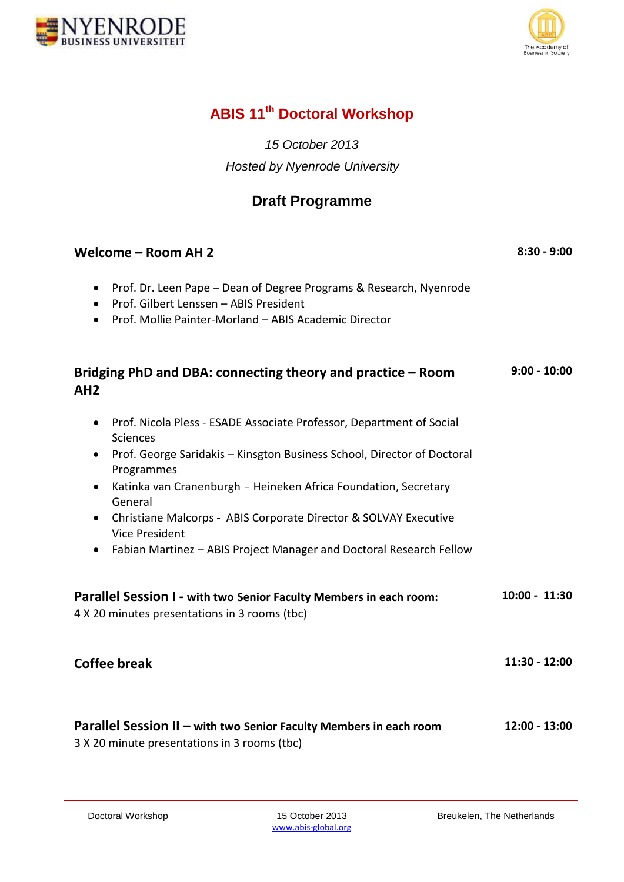



## **ABIS 11th Doctoral Workshop**

*15 October 2013*

*Hosted by Nyenrode University*

## **Draft Programme**

| Welcome - Room AH 2                                                                                                                                                                                                                                                                                                                                                                                                                                          | $8:30 - 9:00$   |
|--------------------------------------------------------------------------------------------------------------------------------------------------------------------------------------------------------------------------------------------------------------------------------------------------------------------------------------------------------------------------------------------------------------------------------------------------------------|-----------------|
| Prof. Dr. Leen Pape - Dean of Degree Programs & Research, Nyenrode<br>$\bullet$<br>Prof. Gilbert Lenssen - ABIS President<br>$\bullet$<br>Prof. Mollie Painter-Morland - ABIS Academic Director                                                                                                                                                                                                                                                              |                 |
| Bridging PhD and DBA: connecting theory and practice – Room<br>AH2                                                                                                                                                                                                                                                                                                                                                                                           | $9:00 - 10:00$  |
| Prof. Nicola Pless - ESADE Associate Professor, Department of Social<br>$\bullet$<br><b>Sciences</b><br>Prof. George Saridakis - Kinsgton Business School, Director of Doctoral<br>Programmes<br>Katinka van Cranenburgh - Heineken Africa Foundation, Secretary<br>$\bullet$<br>General<br>Christiane Malcorps - ABIS Corporate Director & SOLVAY Executive<br><b>Vice President</b><br>Fabian Martinez - ABIS Project Manager and Doctoral Research Fellow |                 |
| Parallel Session I - with two Senior Faculty Members in each room:<br>4 X 20 minutes presentations in 3 rooms (tbc)                                                                                                                                                                                                                                                                                                                                          | $10:00 - 11:30$ |
| <b>Coffee break</b>                                                                                                                                                                                                                                                                                                                                                                                                                                          | 11:30 - 12:00   |
| Parallel Session II - with two Senior Faculty Members in each room<br>3 X 20 minute presentations in 3 rooms (tbc)                                                                                                                                                                                                                                                                                                                                           | 12:00 - 13:00   |

Doctoral Workshop 15 October 2013